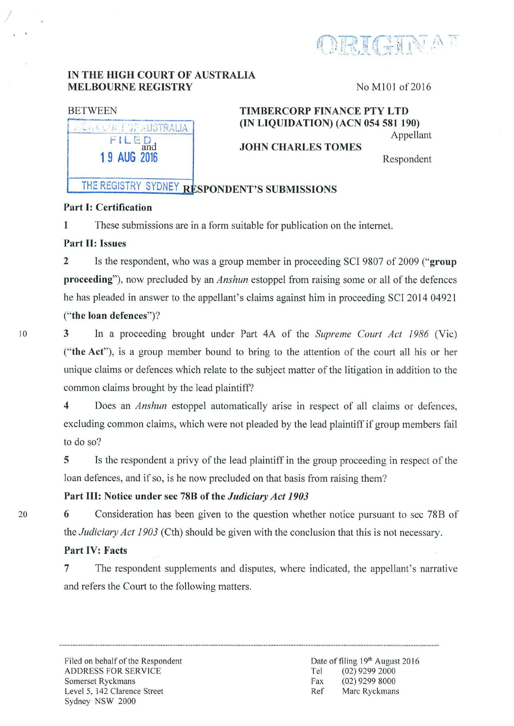

### IN THE HIGH COURT OF AUSTRALIA MELBOURNE REGISTRY No M101 of 2016

| <b>Director</b>                                              |  |
|--------------------------------------------------------------|--|
| $\overline{a}$<br><b>County</b><br>and<br><b>19 AUG 2016</b> |  |

### BETWEEN TIMBERCORP FINANCE PTY LTD (IN LIQUIDATION) (ACN 054 581 190) Appellant

JOHN CHARLES TOMES

Respondent

# THE REGISTRY SYDNEY RESPONDENT'S SUBMISSIONS

# Part I: Certification

1 These submissions are in a form suitable for publication on the internet.

## Part II: Issues

2 Is the respondent, who was a group member in proceeding SCI 9807 of 2009 ("group proceeding"), now precluded by an *Anshun* estoppel from raising some or all of the defences he has pleaded in answer to the appellant's claims against him in proceeding SCI 2014 04921 ("the loan defences")?

10

20

. .

3 In a proceeding brought under Part 4A of the *Supreme Court Act 1986* (Vie) ("the Act"), is a group member bound to bring to the attention of the court all his or her unique claims or defences which relate to the subject matter of the litigation in addition to the common claims brought by the lead plaintiff?

4 Does an *Anshun* estoppel automatically arise in respect of all claims or defences, excluding common claims, which were not pleaded by the lead plaintiff if group members fail to do so?

5 Is the respondent a privy of the lead plaintiff in the group proceeding in respect of the loan defences, and if so, is he now precluded on that basis from raising them?

# Part Ill: Notice under sec 78B of the *Judiciary Act 1903*

6 Consideration has been given to the question whether notice pursuant to sec 78B of the *Judiciary Act 1903* (Cth) should be given with the conclusion that this is not necessary.

# Part IV: Facts

7 The respondent supplements and disputes, where indicated, the appellant's narrative and refers the Court to the following matters.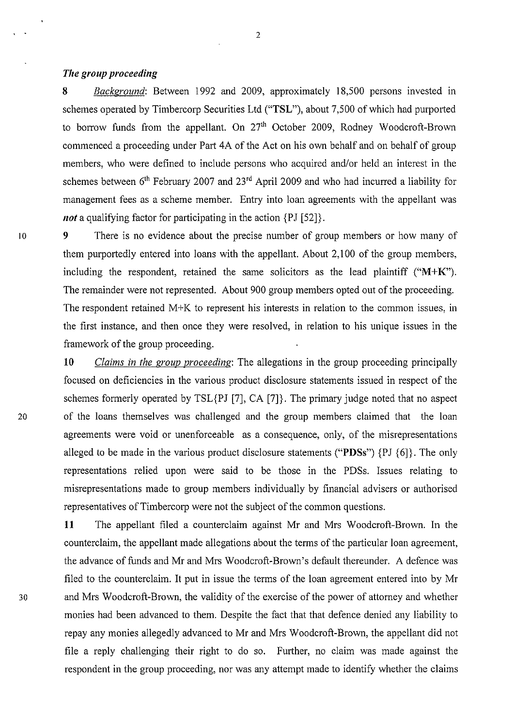#### *The group proceeding*

8 *Background:* Between 1992 and 2009, approximately 18,500 persons invested in schemes operated by Timbercorp Securities Ltd ("TSL"), about 7,500 of which had purported to borrow funds from the appellant. On  $27<sup>th</sup>$  October 2009, Rodney Woodcroft-Brown commenced a proceeding under Part 4A of the Act on his own behalf and on behalf of group members, who were defined to include persons who acquired and/or held an interest in the schemes between  $6<sup>th</sup>$  February 2007 and 23<sup>rd</sup> April 2009 and who had incurred a liability for management fees as a scheme member. Entry into loan agreements with the appellant was *not* a qualifying factor for participating in the action  $\{PI [52]\}$ .

10 9 There is no evidence about the precise number of group members or how many of them purportedly entered into loans with the appellant. About 2,100 of the group members, including the respondent, retained the same solicitors as the lead plaintiff  $("M+K")$ . The remainder were not represented. About 900 group members opted out of the proceeding. The respondent retained M+K to represent his interests in relation to the common issues, in the first instance, and then once they were resolved, in relation to his unique issues in the framework of the group proceeding.

**10** *Claims in the group proceeding:* The allegations in the group proceeding principally focused on deficiencies in the various product disclosure statements issued in respect of the schemes formerly operated by TSL{PJ [7], CA [7]}. The primary judge noted that no aspect 20 of the loans themselves was challenged and the group members claimed that the loan agreements were void or unenforceable as a consequence, only, of the misrepresentations alleged to be made in the various product disclosure statements ("PDSs") {PJ {6]}. The only representations relied upon were said to be those in the PDSs. Issues relating to misrepresentations made to group members individually by financial advisers or authorised representatives of Timbercorp were not the subject of the common questions.

**11** The appellant filed a counterclaim against Mr and Mrs Woodcroft-Brown. In the counterclaim, the appellant made allegations about the terms of the particular loan agreement, the advance of funds and Mr and Mrs Woodcroft-Brown's default thereunder. A defence was filed to the counterclaim. It put in issue the terms of the loan agreement entered into by Mr 30 and Mrs Woodcroft-Brown, the validity of the exercise of the power of attorney and whether monies had been advanced to them. Despite the fact that that defence denied any liability to repay any monies allegedly advanced to Mr and Mrs Woodcroft-Brown, the appellant did not file a reply challenging their right to do so. Further, no claim was made against the respondent in the group proceeding, nor was any attempt made to identify whether the claims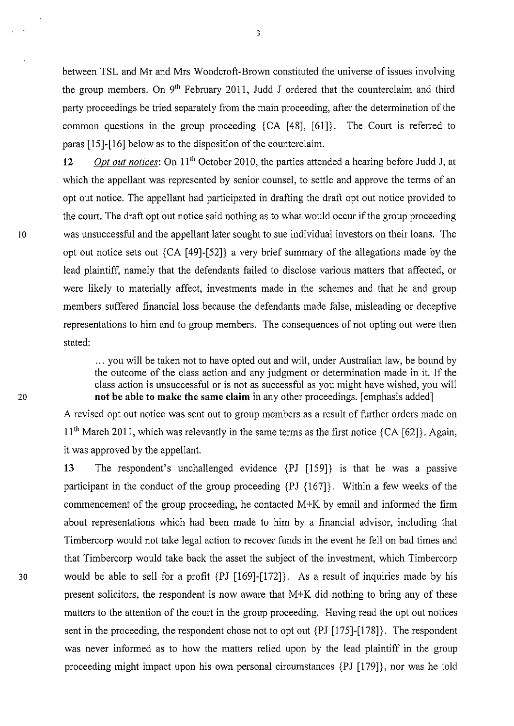between TSL and Mr and Mrs Woodcroft-Brown constituted the universe of issues involving the group members. On  $9<sup>th</sup>$  February 2011, Judd J ordered that the counterclaim and third party proceedings be tried separately from the main proceeding, after the determination of the common questions in the group proceeding  ${CA [48], [61]}$ . The Court is referred to paras [15]-[16] below as to the disposition of the counterclaim.

12 *Opt out notices:* On 11<sup>th</sup> October 2010, the parties attended a hearing before Judd J, at which the appellant was represented by senior counsel, to settle and approve the terms of an opt out notice. The appellant had participated in drafting the draft opt out notice provided to the court. The draft opt out notice said nothing as to what would occur if the group proceeding <sup>10</sup>was unsuccessful and the appellant later sought to sue individual investors on their loans. The opt out notice sets out {CA [49]-[52]} a very brief summary of the allegations made by the lead plaintiff, namely that the defendants failed to disclose various matters that affected, or were likely to materially affect, investments made in the schemes and that he and group members suffered financial loss because the defendants made false, misleading or deceptive representations to him and to group members. The consequences of not opting out were then stated:

> ... you will be taken not to have opted out and will, under Australian law, be bound by the outcome of the class action and any judgment or determination made in it. If the class action is unsuccessful or is not as successful as you might have wished, you will **not be able to make the same claim** in any other proceedings. [emphasis added]

A revised opt out notice was sent out to group members as a result of further orders made on 11<sup>th</sup> March 2011, which was relevantly in the same terms as the first notice {CA [62]}. Again, it was approved by the appellant.

**13** The respondent's unchallenged evidence {PJ [159]} is that he was a passive participant in the conduct of the group proceeding  $\{PJ \{167\}\}\$ . Within a few weeks of the commencement of the group proceeding, he contacted M+K by email and informed the firm about representations which had been made to him by a financial advisor, including that Timbercorp would not take legal action to recover funds in the event he fell on bad times and that Timbercorp would take back the asset the subject of the investment, which Timbercorp 30 would be able to sell for a profit {PJ [169]-[172]}. As a result of inquiries made by his present solicitors, the respondent is now aware that M+K did nothing to bring any of these matters to the attention of the court in the group proceeding. Having read the opt out notices sent in the proceeding, the respondent chose not to opt out {PJ [175]-[178]}. The respondent was never informed as to how the matters relied upon by the lead plaintiff in the group proceeding might impact upon his own personal circumstances {PJ [179]}, nor was he told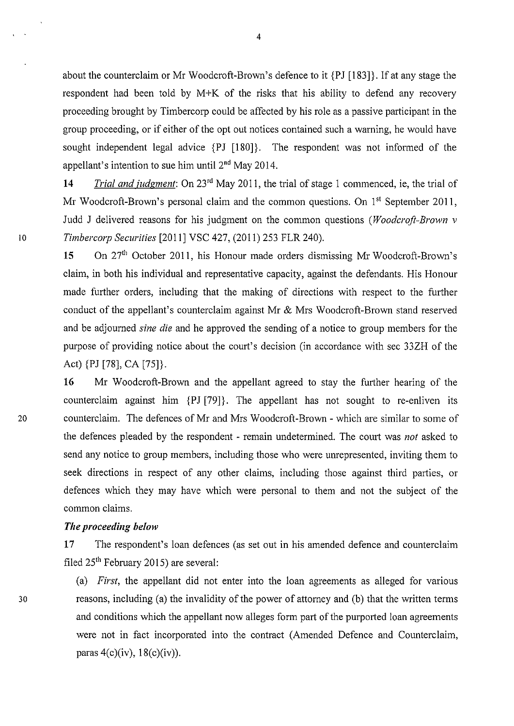about the counterclaim or Mr Woodcroft-Brown's defence to it {PJ [183]}. If at any stage the respondent had been told by M+K of the risks that his ability to defend any recovery proceeding brought by Timbercorp could be affected by his role as a passive participant in the group proceeding, or if either of the opt out notices contained such a warning, he would have sought independent legal advice {PJ [180]}. The respondent was not informed of the appellant's intention to sue him until  $2<sup>nd</sup>$  May 2014.

14 *Trial and judgment*: On 23<sup>rd</sup> May 2011, the trial of stage 1 commenced, ie, the trial of Mr Woodcroft-Brown's personal claim and the common questions. On  $1<sup>st</sup>$  September 2011, Judd J delivered reasons for his judgment on the common questions *(Woodcroft-Brown v*  <sup>10</sup>*Timbercorp Securities* [2011] VSC 427, (2011) 253 FLR 240).

> 15 On 27<sup>th</sup> October 2011, his Honour made orders dismissing Mr Woodcroft-Brown's claim, in both his individual and representative capacity, against the defendants. His Honour made further orders, including that the making of directions with respect to the further conduct of the appellant's counterclaim against Mr & Mrs Woodcroft-Brown stand reserved and be adjourned *sine die* and he approved the sending of a notice to group members for the purpose of providing notice about the court's decision (in accordance with sec 33ZH of the Act) {PJ [78], CA [75]}.

16 Mr Woodcroft-Brown and the appellant agreed to stay the further hearing of the counterclaim against him {PJ [79]}. The appellant has not sought to re-enliven its 20 counterclaim. The defences of Mr and Mrs Woodcroft-Brown - which are similar to some of the defences pleaded by the respondent - remain undetermined. The court was *not* asked to send any notice to group members, including those who were unrepresented, inviting them to seek directions in respect of any other claims, including those against third parties, or defences which they may have which were personal to them and not the subject of the common claims.

#### *The proceeding below*

17 The respondent's loan defences (as set out in his amended defence and counterclaim filed  $25<sup>th</sup>$  February 2015) are several:

(a) *First,* the appellant did not enter into the loan agreements as alleged for various reasons, including (a) the invalidity of the power of attorney and (b) that the written terms and conditions which the appellant now alleges form part of the purported loan agreements were not in fact incorporated into the contract (Amended Defence and Counterclaim, paras  $4(c)(iv)$ ,  $18(c)(iv)$ ).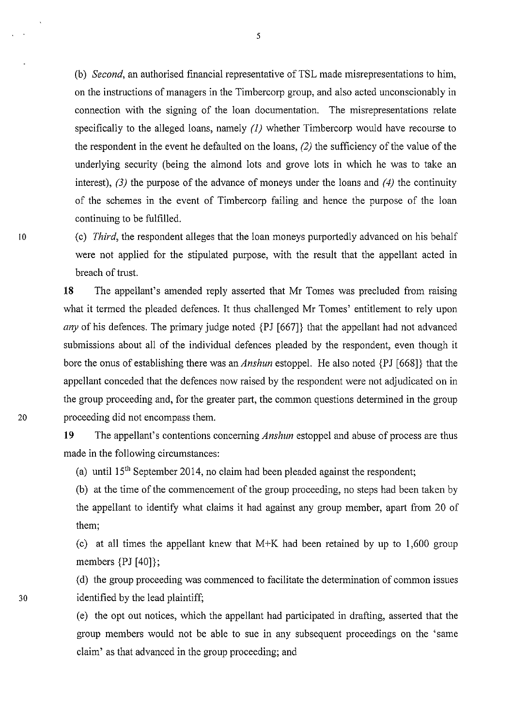(b) *Second,* an authorised financial representative of TSL made misrepresentations to him, on the instructions of managers in the Timbercorp group, and also acted unconscionably in connection with the signing of the loan documentation. The misrepresentations relate specifically to the alleged loans, namely *(1)* whether Timbercorp would have recourse to the respondent in the event he defaulted on the loans, (2) the sufficiency of the value of the underlying security (being the almond lots and grove lots in which he was to take an interest), *(3)* the purpose of the advance of moneys under the loans and *(4)* the continuity of the schemes in the event of Timbercorp failing and hence the purpose of the loan continuing to be fulfilled.

(c) *Third,* the respondent alleges that the loan moneys purportedly advanced on his behalf were not applied for the stipulated purpose, with the result that the appellant acted in breach of trust.

18 The appellant's amended reply asserted that Mr Tomes was precluded from raising what it termed the pleaded defences. It thus challenged Mr Tomes' entitlement to rely upon *any* of his defences. The primary judge noted {PJ [667]} that the appellant had not advanced submissions about all of the individual defences pleaded by the respondent, even though it bore the onus of establishing there was an *Anshun* estoppel. He also noted {PJ [668]} that the appellant conceded that the defences now raised by the respondent were not adjudicated on in the group proceeding and, for the greater part, the common questions determined in the group 20 proceeding did not encompass them.

> 19 The appellant's contentions concerning *Anshun* estoppel and abuse of process are thus made in the following circumstances:

(a) until  $15<sup>th</sup>$  September 2014, no claim had been pleaded against the respondent;

(b) at the time of the commencement of the group proceeding, no steps had been taken by the appellant to identify what claims it had against any group member, apart from 20 of them;

(c) at all times the appellant knew that  $M+K$  had been retained by up to 1,600 group members {PJ [40]};

(d) the group proceeding was commenced to facilitate the determination of common issues identified by the lead plaintiff;

(e) the opt out notices, which the appellant had pmticipated in drafting, asserted that the group members would not be able to sue in any subsequent proceedings on the 'same claim' as that advanced in the group proceeding; and

5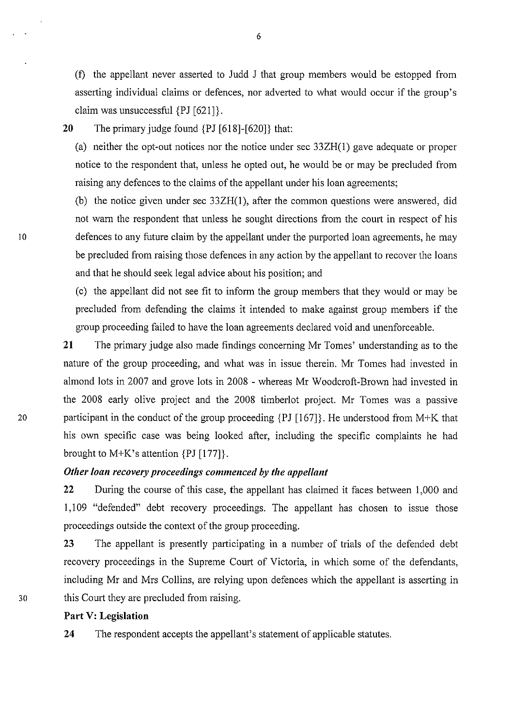(f) the appellant never asserted to Judd J that group members would be estopped from asserting individual claims or defences, nor adverted to what would occur if the group's claim was unsuccessful {PJ [621]}.

20 The primary judge found {PJ [618]-[620]} that:

(a) neither the opt-out notices nor the notice under sec 33ZH(1) gave adequate or proper notice to the respondent that, unless he opted out, he would be or may be precluded from raising any defences to the claims of the appellant under his loan agreements;

(b) the notice given under sec 33ZH(l ), after the common questions were answered, did not warn the respondent that unless he sought directions from the court in respect of his defences to any future claim by the appellant under the purported loan agreements, he may be precluded from raising those defences in any action by the appellant to recover the loans and that he should seek legal advice about his position; and

(c) the appellant did not see fit to inform the group members that they would or may be precluded from defending the claims it intended to make against group members if the group proceeding failed to have the loan agreements declared void and unenforceable.

21 The primary judge also made findings concerning Mr Tomes' understanding as to the nature of the group proceeding, and what was in issue therein. Mr Tomes had invested in almond lots in 2007 and grove lots in 2008 - whereas Mr Woodcroft-Brown had invested in the 2008 early olive project and the 2008 timberlot project. Mr Tomes was a passive 20 participant in the conduct of the group proceeding {PJ [167]}. He understood from M+K that his own specific case was being looked after, including the specific complaints he had brought to M+K's attention {PJ [177]}.

#### *Other loan recovery proceedings commenced by the appellant*

22 During the course of this case, the appellant has claimed it faces between 1,000 and 1,109 "defended" debt recovery proceedings. The appellant has chosen to issue those proceedings outside the context of the group proceeding.

23 The appellant is presently participating in a number of trials of the defended debt recovery proceedings in the Supreme Court of Victoria, in which some of the defendants, including Mr and Mrs Collins, are relying upon defences which the appellant is asserting in 30 this Court they are precluded from raising.

#### Part V: Legislation

24 The respondent accepts the appellant's statement of applicable statutes.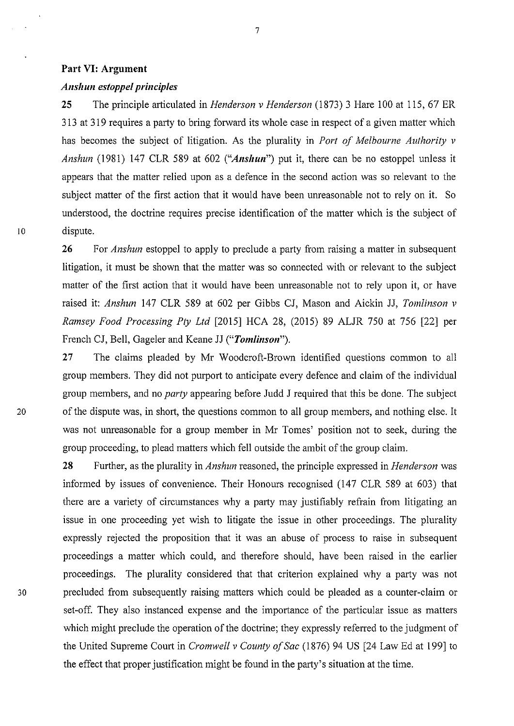#### **Part VI: Argument**

#### *Anshun estoppel principles*

**25** The principle articulated in *Henderson v Henderson* (1873) 3 Hare 100 at 115, 67 ER 313 at 319 requires a party to bring forward its whole case in respect of a given matter which has becomes the subject of litigation. As the plurality in *Port of Melbourne Authority v Anshun* (1981) 147 CLR 589 at 602 *("Anshun"*) put it, there can be no estoppel unless it appears that the matter relied upon as a defence in the second action was so relevant to the subject matter of the first action that it would have been unreasonable not to rely on it. So understood, the doctrine requires precise identification of the matter which is the subject of 10 dispute.

> **26** For *Anshun* estoppel to apply to preclude a party from raising a matter in subsequent litigation, it must be shown that the matter was so connected with or relevant to the subject matter of the first action that it would have been unreasonable not to rely upon it, or have raised it: *Anshun* 147 CLR 589 at 602 per Gibbs CJ, Mason and Aickin JJ, *Tomlinson v Ramsey Food Processing Ply Ltd* [2015] HCA 28, (2015) 89 ALJR 750 at 756 [22] per French CJ, Bell, Gageler and Keane JJ *("Tomlinson").*

27 The claims pleaded by Mr Woodcroft-Brown identified questions common to all group members. They did not purport to anticipate every defence and claim of the individual group members, and no *party* appearing before Judd J required that this be done. The subject 20 of the dispute was, in short, the questions common to all group members, and nothing else. It was not unreasonable for a group member in Mr Tomes' position not to seek, during the group proceeding, to plead matters which fell outside the ambit of the group claim.

**28** Further, as the plurality in *Anshun* reasoned, the principle expressed in *Henderson* was informed by issues of convenience. Their Honours recognised (147 CLR 589 at 603) that there are a variety of circumstances why a party may justifiably refrain from litigating an issue in one proceeding yet wish to litigate the issue in other proceedings. The plurality expressly rejected the proposition that it was an abuse of process to raise in subsequent proceedings a matter which could, and therefore should, have been raised in the earlier proceedings. The plurality considered that that criterion explained why a party was not 30 precluded from subsequently raising matters which could be pleaded as a counter-claim or set-off. They also instanced expense and the importance of the particular issue as matters which might preclude the operation of the doctrine; they expressly referred to the judgment of the United Supreme Court in *Cromwell v County of Sac* (1876) 94 US [24 Law Ed at 199] to the effect that proper justification might be found in the party's situation at the time.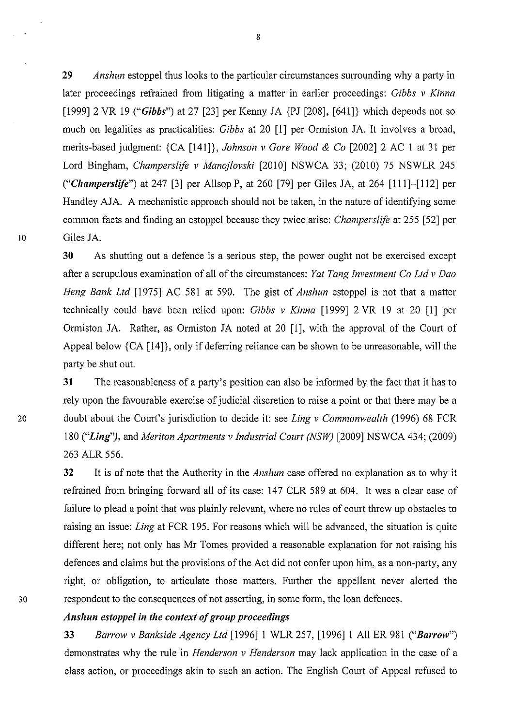**29** *Anshun* estoppel thus looks to the particular circumstances surrounding why a party in later proceedings refrained from litigating a matter in earlier proceedings: *Gibbs v Kinna*  [1999] 2 VR 19 *("Gibbs")* at 27 [23] per Kenny JA {PJ [208], [641]} which depends not so much on legalities as practicalities: *Gibbs* at 20 [1] per Ormiston JA. It involves a broad, merits-based judgment: {CA [141]}, *Johnson v Gore Wood* & *Co* [2002] 2 AC I at 31 per Lord Bingham, *Champerslife v Manojlovski* [2010] NSWCA 33; (2010) 75 NSWLR 245 *("CIIamperslife")* at 247 [3] per Allsop P, at 260 [79] per Giles JA, at 264 [111]-[112] per Handley AJA. A mechanistic approach should not be taken, in the nature of identifying some common facts and finding an estoppel because they twice arise: *Champerslife* at 255 [52] per 10 Giles JA.

> **30** As shutting out a defence is a serious step, the power ought not be exercised except after a scrupulous examination of all of the circumstances: *Yat Tang Investment Co Ltdv Dao Heng Bank Ltd* [1975] AC 581 at 590. The gist of *Anshun* estoppel is not that a matter technically could have been relied upon: *Gibbs v Kinna* [1999] 2 VR 19 at 20 [1] per Ormiston JA. Rather, as Ormiston JA noted at 20 [1], with the approval of the Court of Appeal below {CA [14]}, only if deferring reliance can be shown to be unreasonable, will the party be shut out.

**31** The reasonableness of a party's position can also be informed by the fact that it has to rely upon the favourable exercise of judicial discretion to raise a point or that there may be a 20 doubt about the Court's jurisdiction to decide it: see *Ling v Commonwealth* (1996) 68 FCR 180 *("Ling")*, and *Meriton Apartments v Industrial Court (NSW)* [2009] NSWCA 434; (2009) 263 ALR 556.

**32** It is of note that the Authority in the *Anshun* case offered no explanation as to why it refrained from bringing forward all of its case: 147 CLR 589 at 604. It was a clear case of failure to plead a point that was plainly relevant, where no rules of court threw up obstacles to raising an issue: *Ling* at FCR 195. For reasons which will be advanced, the situation is quite different here; not only has Mr Tomes provided a reasonable explanation for not raising his defences and claims but the provisions of the Act did not confer upon him, as a non-party, any right, or obligation, to articulate those matters. Further the appellant never alerted the 30 respondent to the consequences of not asserting, in some form, the loan defences.

### *Ansllun estoppel in the context of group proceedings*

**33** *Barrow v Bankside Agency Ltd* [1996]1 WLR 257, [1996]1 All ER 981 *("Barrow")*  demonstrates why the rule in *Henderson v Henderson* may lack application in the case of a class action, or proceedings akin to such an action. The English Court of Appeal refused to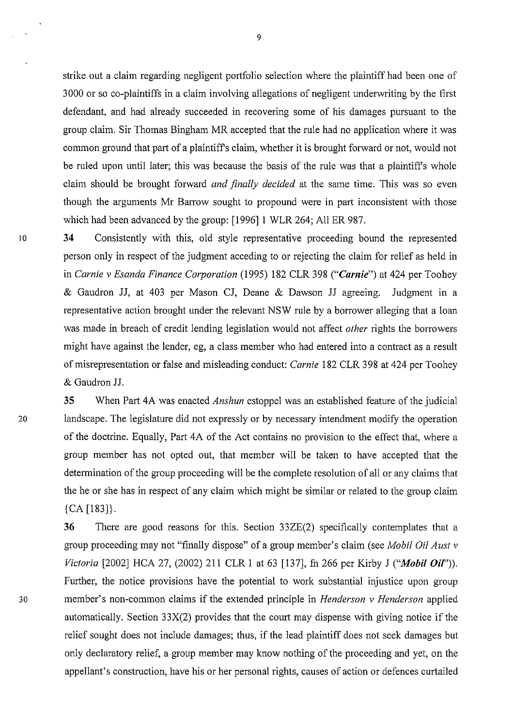strike out a claim regarding negligent portfolio selection where the plaintiff had been one of 3000 or so eo-plaintiffs in a claim involving allegations of negligent underwriting by the first defendant, and had already succeeded in recovering some of his damages pursuant to the group claim. Sir Thomas Bingham MR accepted that the rule had no application where it was common ground that part of a plaintiff's claim, whether it is brought forward or not, would not be ruled upon until later; this was because the basis of the rule was that a plaintiff's whole claim should be brought forward *and finally decided* at the same time. This was so even though the arguments Mr Barrow sought to propound were in part inconsistent with those which had been advanced by the group: [1996] 1 WLR 264; All ER 987.

10 34 Consistently with this, old style representative proceeding bound the represented person only in respect of the judgment acceding to or rejecting the claim for relief as held in in *Carnie v Esanda Finance Corporation* (1995) 182 CLR 398 *("Carnie")* at 424 per Toohey & Gaudron JJ, at 403 per Mason CJ, Deane & Dawson JJ agreeing. Judgment in a representative action brought under the relevant NSW rule by a borrower alleging that a loan was made in breach of credit lending legislation would not affect *other* rights the borrowers might have against the lender, eg, a class member who had entered into a contract as a result of misrepresentation or false and misleading conduct: *Carnie* 182 CLR 398 at 424 per Toohey & Gaudron JJ.

**35** When Part 4A was enacted *Anshun* estoppel was an established feature of the judicial 20 landscape. The legislature did not expressly or by necessary intendment modify the operation of the doctrine. Equally, Part 4A of the Act contains no provision to the effect that, where a group member has not opted out, that member will be taken to have accepted that the determination of the group proceeding will be the complete resolution of all or any claims that the he or she has in respect of any claim which might be similar or related to the group claim  ${CA [183]}$ .

**36** There are good reasons for this. Section 33ZE(2) specifically contemplates that a group proceeding may not "finally dispose" of a group member's claim (see *Mobil Oil Aust v Victoria* [2002] HCA 27, (2002) 211 CLR 1 at 63 [137], fn 266 per Kirby J **("Mobil Oif')).**  Further, the notice provisions have the potential to work substantial injustice upon group 30 member's non-common claims if the extended principle in *Henderson v Henderson* applied automatically. Section 33X(2) provides that the court may dispense with giving notice if the relief sought does not include damages; thus, if the lead plaintiff does not seek damages but only declaratory relief, a group member may know nothing of the proceeding and yet, on the appellant's construction, have his or her personal rights, causes of action or defences curtailed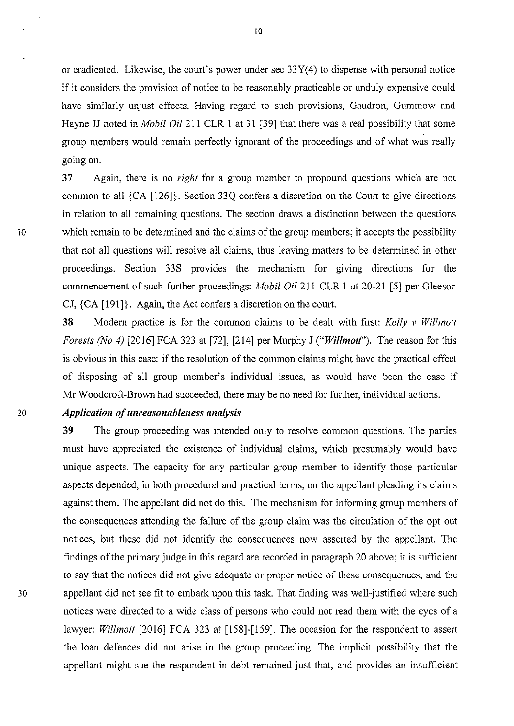or eradicated. Likewise, the court's power under sec 33Y(4) to dispense with personal notice if it considers the provision of notice to be reasonably practicable or unduly expensive could have similarly unjust effects. Having regard to such provisions, Gaudron, Gummow and Hayne JJ noted in *Mobil Oil* 211 CLR **1** at 31 [39] that there was a real possibility that some group members would remain perfectly ignorant of the proceedings and of what was really going on.

37 Again, there is no *right* for a group member to propound questions which are not common to all {CA [126]}. Section 33Q confers a discretion on the Court to give directions in relation to all remaining questions. The section draws a distinction between the questions Io which remain to be determined and the claims of the group members; it accepts the possibility that not all questions will resolve all claims, thus leaving matters to be determined in other proceedings. Section 33S provides the mechanism for giving directions for the commencement of such further proceedings: *Mobil* Oi/211 CLR I at 20-21 [5] per Gleeson CJ,  ${CA [191]}$ . Again, the Act confers a discretion on the court.

> **38** Modern practice is for the common claims to be dealt with first: *Kelly v Willmotl Forests (No 4)* [2016] FCA 323 at [72], [214] per Murphy J ("*Willmott*"). The reason for this is obvious in this case: if the resolution of the common claims might have the practical effect of disposing of all group member's individual issues, as would have been the case if Mr Woodcroft-Brown had succeeded, there may be no need for further, individual actions.

#### 20 *Application of unreasonableness analysis*

**39** The group proceeding was intended only to resolve common questions. The parties must have appreciated the existence of individual claims, which presumably would have unique aspects. The capacity for any particular group member to identify those particular aspects depended, in both procedural and practical terms, on the appellant pleading its claims against them. The appellant did not do this. The mechanism for informing group members of the consequences attending the failure of the group claim was the circulation of the opt out notices, but these did not identify the consequences now asserted by the appellant. The findings of the primary judge in this regard are recorded in paragraph 20 above; it is sufficient to say that the notices did not give adequate or proper notice of these consequences, and the 30 appellant did not see fit to embark upon this task. That finding was well-justified where such notices were directed to a wide class of persons who could not read them with the eyes of a lawyer: *Willmott* [2016] FCA 323 at [158]-[159]. The occasion for the respondent to assert the loan defences did not arise in the group proceeding. The implicit possibility that the appellant might sue the respondent in debt remained just that, and provides an insufficient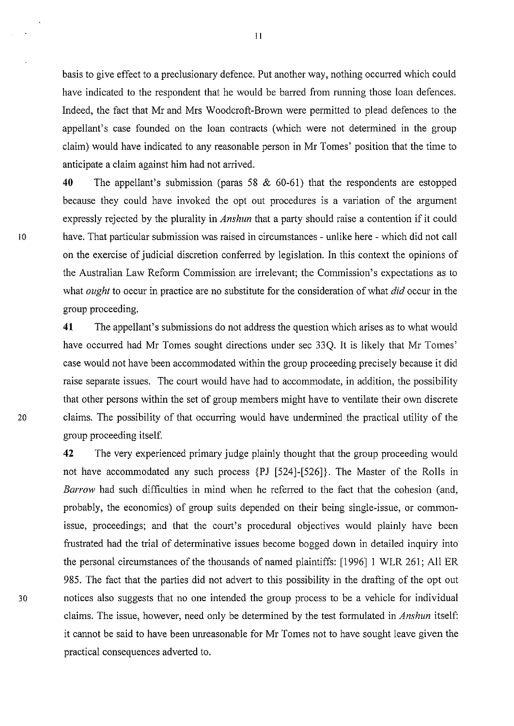basis to give effect to a preclusionary defence. Put another way, nothing occuned which could have indicated to the respondent that he would be barred from running those loan defences. Indeed, the fact that Mr and Mrs Woodcroft-Brown were permitted to plead defences to the appellant's case founded on the loan contracts (which were not determined in the group claim) would have indicated to any reasonable person in Mr Tomes' position that the time to anticipate a claim against him had not arrived.

40 The appellant's submission (paras 58 & 60-61) that the respondents are estopped because they could have invoked the opt out procedures is a variation of the argument expressly rejected by the plurality in *Anshun* that a party should raise a contention if it could I o have. That particular submission was raised in circumstances - unlike here - which did not call on the exercise of judicial discretion conferred by legislation. In this context the opinions of the Australian Law Reform Commission are irrelevant; the Commission's expectations as to what *ought* to occur in practice are no substitute for the consideration of what *did* occur in the group proceeding.

41 The appellant's submissions do not address the question which arises as to what would have occurred had Mr Tomes sought directions under sec 33Q. It is likely that Mr Tomes' case would not have been accommodated within the group proceeding precisely because it did raise separate issues. The court would have had to accommodate, in addition, the possibility that other persons within the set of group members might have to ventilate their own discrete 20 claims. The possibility of that occurring would have undermined the practical utility of the group proceeding itself.

42 The very experienced primary judge plainly thought that the group proceeding would not have accommodated any such process {PJ [524]-[526]}. The Master of the Rolls in *Barrow* had such difficulties in mind when he referred to the fact that the cohesion (and, probably, the economics) of group suits depended on their being single-issue, or commonissue, proceedings; and that the court's procedural objectives would plainly have been frustrated had the trial of determinative issues become bogged down in detailed inquiry into the personal circumstances of the thousands of named plaintiffs: [1996] 1 WLR 261; All ER 985. The fact that the parties did not advert to this possibility in the drafting of the opt out 30 notices also suggests that no one intended the group process to be a vehicle for individual claims. The issue, however, need only be determined by the test formulated in *Anshun* itself: it cannot be said to have been unreasonable for Mr Tomes not to have sought leave given the practical consequences adverted to.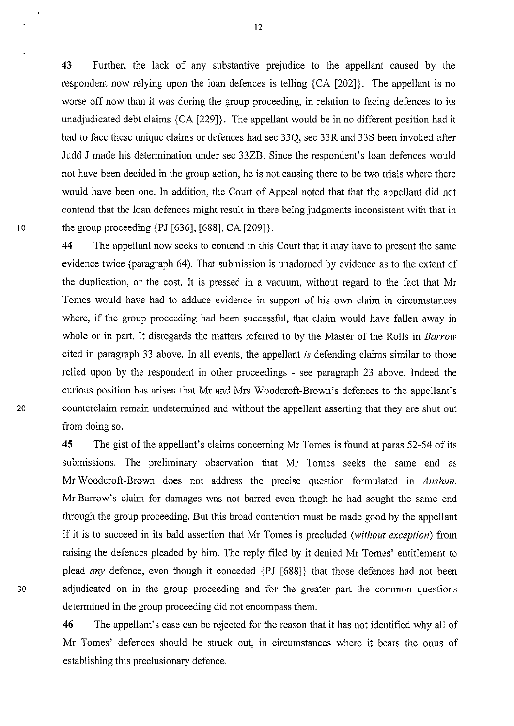43 Further, the lack of any substantive prejudice to the appellant caused by the respondent now relying upon the loan defences is telling {CA [202]}. The appellant is no worse off now than it was during the group proceeding, in relation to facing defences to its unadjudicated debt claims {CA [229]}. The appellant would be in no different position had it had to face these unique claims or defences had sec 33Q, sec 33R and 33S been invoked after Judd J made his determination under sec 33ZB. Since the respondent's loan defences would not have been decided in the group action, he is not causing there to be two trials where there would have been one. In addition, the Court of Appeal noted that that the appellant did not contend that the loan defences might result in there being judgments inconsistent with that in 10 the group proceeding {PJ [636], [688], CA [209]}.

**44** The appellant now seeks to contend in this Court that it may have to present the same evidence twice (paragraph 64). That submission is unadorned by evidence as to the extent of the duplication, or the cost. It is pressed in a vacuum, without regard to the fact that Mr Tomes would have had to adduce evidence in support of his own claim in circumstances where, if the group proceeding had been successful, that claim would have fallen away in whole or in part. It disregards the matters referred to by the Master of the Rolls in *Barrow*  cited in paragraph 33 above. In all events, the appellant is defending claims similar to those relied upon by the respondent in other proceedings - see paragraph 23 above. Indeed the curious position has arisen that Mr and Mrs Woodcroft-Brown's defences to the appellant's 20 counterclaim remain undetermined and without the appellant asserting that they are shut out from doing so.

**45** The gist of the appellant's claims concerning Mr Tomes is found at paras 52-54 of its submissions. The preliminary observation that Mr Tomes seeks the same end as Mr Woodcroft-Brown does not address the precise question formulated in *Anshun.*  Mr Barrow's claim for damages was not barred even though he had sought the same end through the group proceeding. But this broad contention must be made good by the appellant if it is to succeed in its bald assertion that Mr Tomes is precluded *(without exception)* from raising the defences pleaded by him. The reply filed by it denied Mr Tomes' entitlement to plead *any* defence, even though it conceded {PJ [688]} that those defences had not been 30 adjudicated on in the group proceeding and for the greater part the common questions determined in the group proceeding did not encompass them.

> 46 The appellant's case can be rejected for the reason that it has not identified why all of Mr Tomes' defences should be struck out, in circumstances where it bears the onus of establishing this preclusionary defence.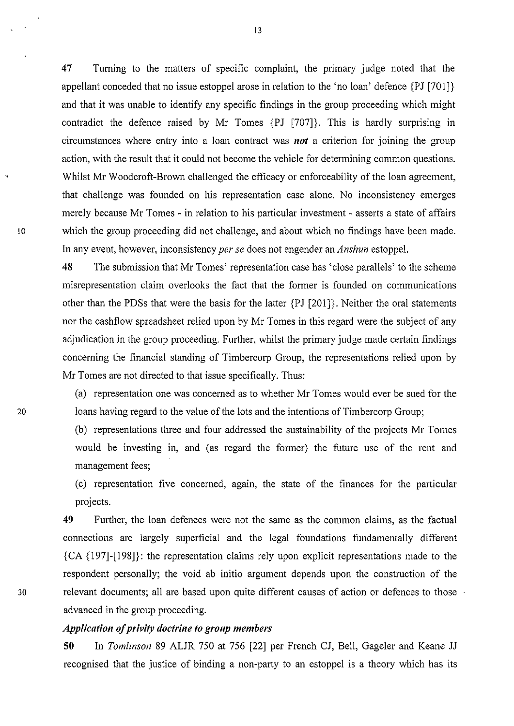47 Turning to the matters of specific complaint, the primary judge noted that the appellant conceded that no issue estoppel arose in relation to the 'no loan' defence {PJ [701]} and that it was unable to identify any specific findings in the group proceeding which might contradict the defence raised by Mr Tomes {PJ [707]}. This is hardly surprising in circumstances where entry into a loan contract was *not* a criterion for joining the group action, with the result that it could not become the vehicle for determining common questions. Whilst Mr Woodcroft-Brown challenged the efficacy or enforceability of the loan agreement, that challenge was founded on his representation case alone. No inconsistency emerges merely because Mr Tomes - in relation to his particular investment- asserts a state of affairs Io which the group proceeding did not challenge, and about which no findings have been made. In any event, however, inconsistency *per se* does not engender an *Anshun* estoppel.

> 48 The submission that Mr Tomes' representation case has 'close parallels' to the scheme misrepresentation claim overlooks the fact that the former is founded on communications other than the PDSs that were the basis for the latter {PJ [201]}. Neither the oral statements nor the cashflow spreadsheet relied upon by Mr Tomes in this regard were the subject of any adjudication in the group proceeding. Further, whilst the primary judge made certain findings concerning the financial standing of Timbercorp Group, the representations relied upon by Mr Tomes are not directed to that issue specifically. Thus:

(a) representation one was concerned as to whether Mr Tomes would ever be sued for the loans having regard to the value of the lots and the intentions of Timbercorp Group;

(b) representations three and four addressed the sustainability of the projects Mr Tomes would be investing in, and (as regard the former) the future use of the rent and management fees;

(c) representation five concerned, agam, the state of the finances for the particular projects.

49 Further, the loan defences were not the same as the common claims, as the factual connections are largely superficial and the legal foundations fundamentally different {CA {197]-[198]}: the representation claims rely upon explicit representations made to the respondent personally; the void ab initio argument depends upon the construction of the 30 relevant documents; all are based upon quite different causes of action or defences to those advanced in the group proceeding.

### *Application of privity doctrine to group members*

50 In *Tomlinson* 89 ALJR 750 at 756 [22] per French CJ, Bell, Gageler and Keane JJ recognised that the justice of binding a non-party to an estoppel is a theory which has its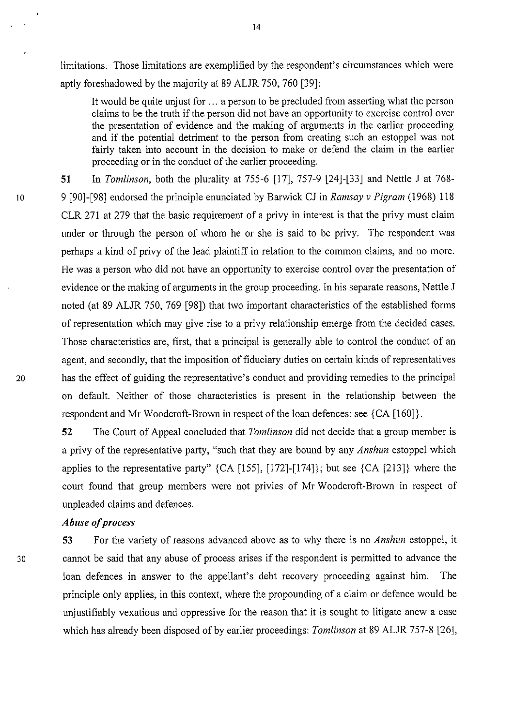limitations. Those limitations are exemplified by the respondent's circumstances which were aptly foreshadowed by the majority at 89 ALJR 750, 760 [39]:

It would be quite unjust for ... a person to be precluded from asserting what the person claims to be the truth if the person did not have an opportunity to exercise control over the presentation of evidence and the making of arguments in the earlier proceeding and if the potential detriment to the person from creating such an estoppel was not fairly taken into account in the decision to make or defend the claim in the earlier proceeding or in the conduct of the earlier proceeding.

51 In *Tomlinson,* both the plurality at 755-6 [17], 757-9 [24]-[33] and Nettle J at 768- 10 9 [90]-[98] endorsed the principle enunciated by Barwick CJ in *Ramsay v Pigram* (1968) 118 CLR 271 at 279 that the basic requirement of a privy in interest is that the privy must claim under or through the person of whom he or she is said to be privy. The respondent was perhaps a kind of privy of the lead plaintiff in relation to the common claims, and no more. He was a person who did not have an opportunity to exercise control over the presentation of evidence or the making of arguments in the group proceeding. In his separate reasons, Nettle J noted (at 89 ALJR 750, 769 [98]) that two important characteristics of the established forms of representation which may give rise to a privy relationship emerge from the decided cases. Those characteristics are, first, that a principal is generally able to control the conduct of an agent, and secondly, that the imposition of fiduciary duties on certain kinds of representatives 20 has the effect of guiding the representative's conduct and providing remedies to the principal on default. Neither of those characteristics is present in the relationship between the respondent and Mr Woodcroft-Brown in respect of the loan defences: see {CA [160]}.

> 52 The Court of Appeal concluded that *Tomlinson* did not decide that a group member is a privy of the representative party, "such that they are bound by any *Anshun* estoppel which applies to the representative party" {CA [155], [172]-[174]}; but see {CA [213]} where the court found that group members were not privies of Mr Woodcroft-Brown in respect of unpleaded claims and defences.

#### *Abuse of process*

53 For the variety of reasons advanced above as to why there is no *Anshun* estoppel, it 30 cannot be said that any abuse of process arises if the respondent is permitted to advance the loan defences in answer to the appellant's debt recovery proceeding against him. The principle only applies, in this context, where the propounding of a claim or defence would be unjustifiably vexatious and oppressive for the reason that it is sought to litigate anew a case which has already been disposed of by earlier proceedings: *Tomlinson* at 89 ALJR 757-8 [26],